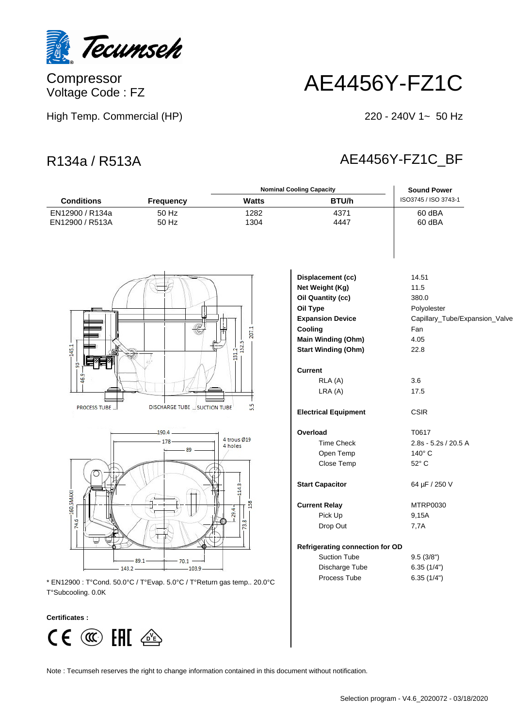

Compressor Voltage Code : FZ

## AE4456Y-FZ1C

High Temp. Commercial (HP)

## $220 - 240V$  1~ 50 Hz

## R134a / R513A AE4456Y-FZ1C\_BF

|                                    |                             |                        | <b>Nominal Cooling Capacity</b> | <b>Sound Power</b>             |
|------------------------------------|-----------------------------|------------------------|---------------------------------|--------------------------------|
| <b>Conditions</b>                  | <b>Frequency</b>            | <b>Watts</b>           | BTU/h                           | ISO3745 / ISO 3743-1           |
| EN12900 / R134a<br>EN12900 / R513A | 50 Hz<br>50 Hz              | 1282<br>1304           | 4371<br>4447                    | 60 dBA<br>60 dBA               |
|                                    |                             |                        |                                 |                                |
|                                    |                             |                        | Displacement (cc)               | 14.51                          |
|                                    |                             |                        | Net Weight (Kg)                 | 11.5                           |
|                                    |                             |                        | <b>Oil Quantity (cc)</b>        | 380.0                          |
|                                    |                             |                        | Oil Type                        | Polyolester                    |
|                                    |                             |                        | <b>Expansion Device</b>         | Capillary_Tube/Expansion_Valve |
|                                    |                             | 207.1                  | Cooling                         | Fan                            |
|                                    |                             |                        | Main Winding (Ohm)              | 4.05                           |
| 145.1                              |                             | $\frac{1312}{1525}$    | <b>Start Winding (Ohm)</b>      | 22.8                           |
| ဣ                                  |                             |                        |                                 |                                |
| 46.9                               |                             |                        | <b>Current</b>                  |                                |
|                                    |                             |                        | RLA (A)                         | 3.6                            |
|                                    |                             |                        | LRA(A)                          | 17.5                           |
| <b>PROCESS TUBE </b>               | DISCHARGE TUBE SUCTION TUBE | 55                     | <b>Electrical Equipment</b>     | <b>CSIR</b>                    |
|                                    | 190.4                       |                        | Overload                        | T0617                          |
|                                    | 178                         | 4 trous Ø19<br>4 holes | <b>Time Check</b>               | 2.8s - 5.2s / 20.5 A           |
|                                    | 89                          |                        | Open Temp                       | 140°C                          |
|                                    |                             |                        | Close Temp                      | 52° C                          |
|                                    |                             | 114.3                  | <b>Start Capacitor</b>          | 64 µF / 250 V                  |
| $-160.5$ MAXI                      |                             | 158                    | <b>Current Relay</b>            | MTRP0030                       |
|                                    |                             | 29.4                   | Pick Up                         | 9,15A                          |

Drop Out 7,7A

Suction Tube 9.5 (3/8") Discharge Tube 6.35 (1/4")

**Refrigerating connection for OD**

178 160.5MAXI 74.6 89.1  $701$ 143.2  $1039$ 

\* EN12900 : T°Cond. 50.0°C / T°Evap. 5.0°C / T°Return gas temp.. 20.0°C Process Tube 6.35 (1/4") T°Subcooling. 0.0K

## **Certificates :**



Note : Tecumseh reserves the right to change information contained in this document without notification.

Selection program - V4.6\_2020072 - 03/18/2020